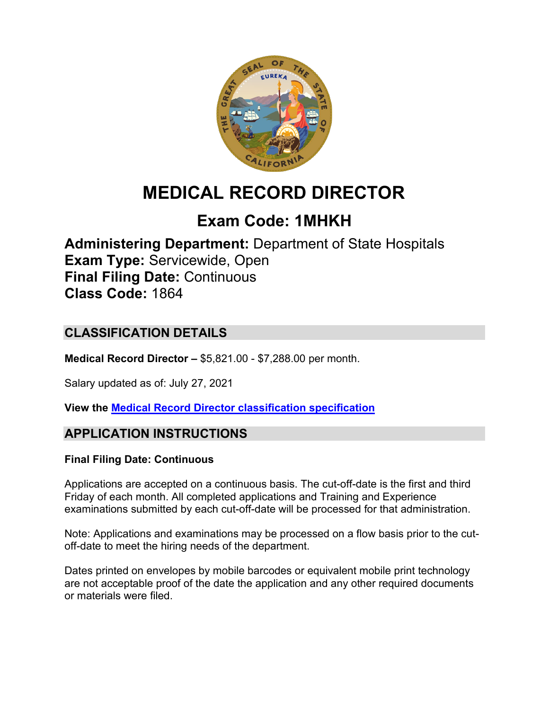

# **MEDICAL RECORD DIRECTOR**

# **Exam Code: 1MHKH**

**Administering Department:** Department of State Hospitals **Exam Type:** Servicewide, Open **Final Filing Date:** Continuous **Class Code:** 1864

# **CLASSIFICATION DETAILS**

**Medical Record Director –** \$5,821.00 - \$7,288.00 per month.

Salary updated as of: July 27, 2021

**View the [Medical Record Director classification specification](https://www.calhr.ca.gov/state-hr-professionals/pages/1864.aspx)**

# **APPLICATION INSTRUCTIONS**

#### **Final Filing Date: Continuous**

Applications are accepted on a continuous basis. The cut-off-date is the first and third Friday of each month. All completed applications and Training and Experience examinations submitted by each cut-off-date will be processed for that administration.

Note: Applications and examinations may be processed on a flow basis prior to the cutoff-date to meet the hiring needs of the department.

Dates printed on envelopes by mobile barcodes or equivalent mobile print technology are not acceptable proof of the date the application and any other required documents or materials were filed.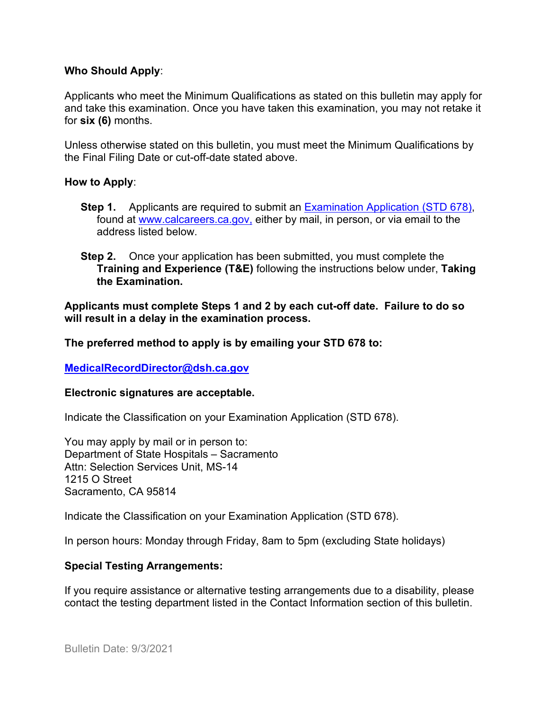#### **Who Should Apply**:

Applicants who meet the Minimum Qualifications as stated on this bulletin may apply for and take this examination. Once you have taken this examination, you may not retake it for **six (6)** months.

Unless otherwise stated on this bulletin, you must meet the Minimum Qualifications by the Final Filing Date or cut-off-date stated above.

#### **How to Apply**:

- **Step 1.** Applicants are required to submit an [Examination Application \(STD 678\),](https://jobs.ca.gov/pdf/std678.pdf) found at [www.calcareers.ca.gov,](http://www.calcareers.ca.gov/) either by mail, in person, or via email to the address listed below.
- **Step 2.** Once your application has been submitted, you must complete the **Training and Experience (T&E)** following the instructions below under, **Taking the Examination.**

**Applicants must complete Steps 1 and 2 by each cut-off date. Failure to do so will result in a delay in the examination process.**

**The preferred method to apply is by emailing your STD 678 to:**

**[MedicalRecordDirector@dsh.ca.gov](mailto:MedicalRecordDirector@dsh.ca.gov)**

#### **Electronic signatures are acceptable.**

Indicate the Classification on your Examination Application (STD 678).

You may apply by mail or in person to: Department of State Hospitals – Sacramento Attn: Selection Services Unit, MS-14 1215 O Street Sacramento, CA 95814

Indicate the Classification on your Examination Application (STD 678).

In person hours: Monday through Friday, 8am to 5pm (excluding State holidays)

#### **Special Testing Arrangements:**

If you require assistance or alternative testing arrangements due to a disability, please contact the testing department listed in the Contact Information section of this bulletin.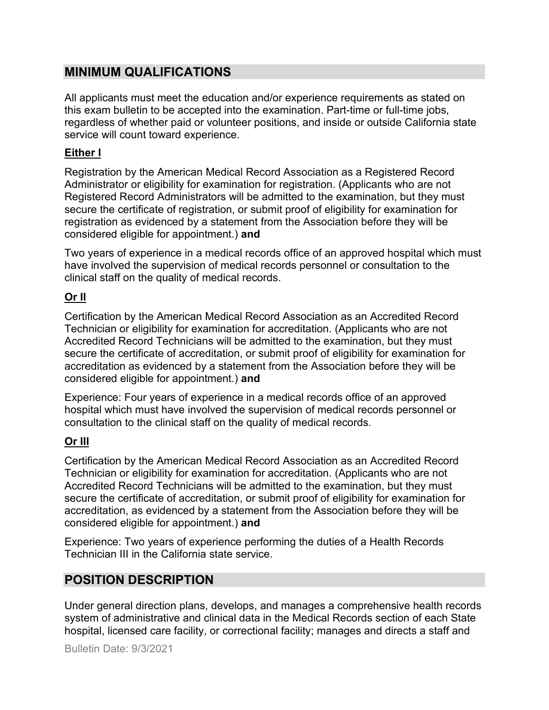## **MINIMUM QUALIFICATIONS**

All applicants must meet the education and/or experience requirements as stated on this exam bulletin to be accepted into the examination. Part-time or full-time jobs, regardless of whether paid or volunteer positions, and inside or outside California state service will count toward experience.

### **Either I**

Registration by the American Medical Record Association as a Registered Record Administrator or eligibility for examination for registration. (Applicants who are not Registered Record Administrators will be admitted to the examination, but they must secure the certificate of registration, or submit proof of eligibility for examination for registration as evidenced by a statement from the Association before they will be considered eligible for appointment.) **and**

Two years of experience in a medical records office of an approved hospital which must have involved the supervision of medical records personnel or consultation to the clinical staff on the quality of medical records.

## **Or II**

Certification by the American Medical Record Association as an Accredited Record Technician or eligibility for examination for accreditation. (Applicants who are not Accredited Record Technicians will be admitted to the examination, but they must secure the certificate of accreditation, or submit proof of eligibility for examination for accreditation as evidenced by a statement from the Association before they will be considered eligible for appointment.) **and**

Experience: Four years of experience in a medical records office of an approved hospital which must have involved the supervision of medical records personnel or consultation to the clinical staff on the quality of medical records.

## **Or III**

Certification by the American Medical Record Association as an Accredited Record Technician or eligibility for examination for accreditation. (Applicants who are not Accredited Record Technicians will be admitted to the examination, but they must secure the certificate of accreditation, or submit proof of eligibility for examination for accreditation, as evidenced by a statement from the Association before they will be considered eligible for appointment.) **and**

Experience: Two years of experience performing the duties of a Health Records Technician III in the California state service.

# **POSITION DESCRIPTION**

Under general direction plans, develops, and manages a comprehensive health records system of administrative and clinical data in the Medical Records section of each State hospital, licensed care facility, or correctional facility; manages and directs a staff and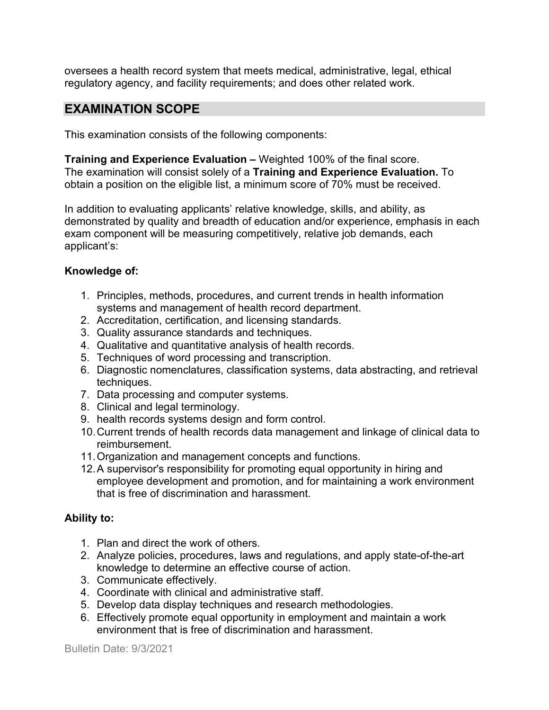oversees a health record system that meets medical, administrative, legal, ethical regulatory agency, and facility requirements; and does other related work.

## **EXAMINATION SCOPE**

This examination consists of the following components:

**Training and Experience Evaluation –** Weighted 100% of the final score. The examination will consist solely of a **Training and Experience Evaluation.** To obtain a position on the eligible list, a minimum score of 70% must be received.

In addition to evaluating applicants' relative knowledge, skills, and ability, as demonstrated by quality and breadth of education and/or experience, emphasis in each exam component will be measuring competitively, relative job demands, each applicant's:

#### **Knowledge of:**

- 1. Principles, methods, procedures, and current trends in health information systems and management of health record department.
- 2. Accreditation, certification, and licensing standards.
- 3. Quality assurance standards and techniques.
- 4. Qualitative and quantitative analysis of health records.
- 5. Techniques of word processing and transcription.
- 6. Diagnostic nomenclatures, classification systems, data abstracting, and retrieval techniques.
- 7. Data processing and computer systems.
- 8. Clinical and legal terminology.
- 9. health records systems design and form control.
- 10.Current trends of health records data management and linkage of clinical data to reimbursement.
- 11.Organization and management concepts and functions.
- 12.A supervisor's responsibility for promoting equal opportunity in hiring and employee development and promotion, and for maintaining a work environment that is free of discrimination and harassment.

#### **Ability to:**

- 1. Plan and direct the work of others.
- 2. Analyze policies, procedures, laws and regulations, and apply state-of-the-art knowledge to determine an effective course of action.
- 3. Communicate effectively.
- 4. Coordinate with clinical and administrative staff.
- 5. Develop data display techniques and research methodologies.
- 6. Effectively promote equal opportunity in employment and maintain a work environment that is free of discrimination and harassment.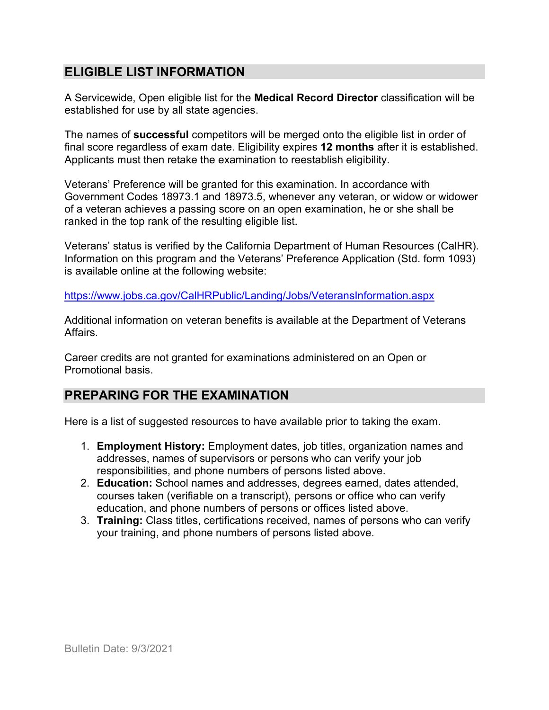# **ELIGIBLE LIST INFORMATION**

A Servicewide, Open eligible list for the **Medical Record Director** classification will be established for use by all state agencies.

The names of **successful** competitors will be merged onto the eligible list in order of final score regardless of exam date. Eligibility expires **12 months** after it is established. Applicants must then retake the examination to reestablish eligibility.

Veterans' Preference will be granted for this examination. In accordance with Government Codes 18973.1 and 18973.5, whenever any veteran, or widow or widower of a veteran achieves a passing score on an open examination, he or she shall be ranked in the top rank of the resulting eligible list.

Veterans' status is verified by the California Department of Human Resources (CalHR). Information on this program and the Veterans' Preference Application (Std. form 1093) is available online at the following website:

<https://www.jobs.ca.gov/CalHRPublic/Landing/Jobs/VeteransInformation.aspx>

Additional information on veteran benefits is available at the Department of Veterans Affairs.

Career credits are not granted for examinations administered on an Open or Promotional basis.

# **PREPARING FOR THE EXAMINATION**

Here is a list of suggested resources to have available prior to taking the exam.

- 1. **Employment History:** Employment dates, job titles, organization names and addresses, names of supervisors or persons who can verify your job responsibilities, and phone numbers of persons listed above.
- 2. **Education:** School names and addresses, degrees earned, dates attended, courses taken (verifiable on a transcript), persons or office who can verify education, and phone numbers of persons or offices listed above.
- 3. **Training:** Class titles, certifications received, names of persons who can verify your training, and phone numbers of persons listed above.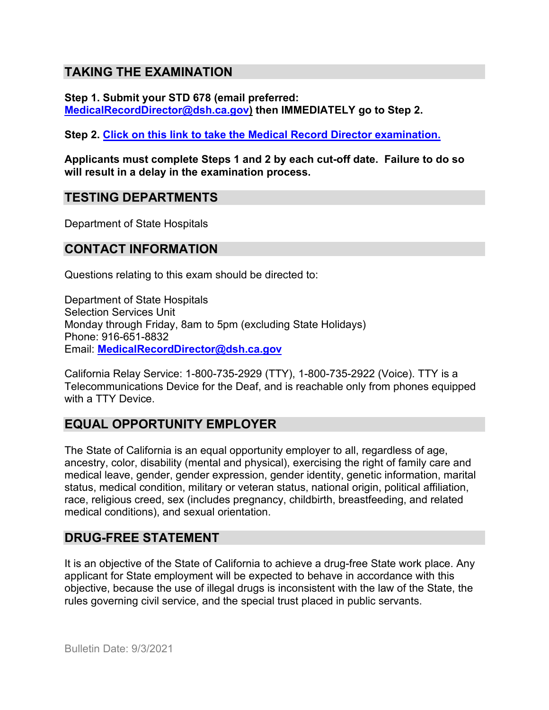## **TAKING THE EXAMINATION**

**Step 1. Submit your STD 678 (email preferred: [MedicalRecordDirector@dsh.ca.gov\)](mailto:MedicalRecordDirector@dsh.ca.gov) then IMMEDIATELY go to Step 2.**

**Step 2. [Click on this link to take the Medical Record Director](https://www.surveymonkey.com/r/BK7WJDX) examination.**

**Applicants must complete Steps 1 and 2 by each cut-off date. Failure to do so will result in a delay in the examination process.**

### **TESTING DEPARTMENTS**

Department of State Hospitals

## **CONTACT INFORMATION**

Questions relating to this exam should be directed to:

Department of State Hospitals Selection Services Unit Monday through Friday, 8am to 5pm (excluding State Holidays) Phone: 916-651-8832 Email: **[MedicalRecordDirector@dsh.ca.gov](mailto:MedicalRecordDirector@dsh.ca.gov)**

California Relay Service: 1-800-735-2929 (TTY), 1-800-735-2922 (Voice). TTY is a Telecommunications Device for the Deaf, and is reachable only from phones equipped with a TTY Device.

# **EQUAL OPPORTUNITY EMPLOYER**

The State of California is an equal opportunity employer to all, regardless of age, ancestry, color, disability (mental and physical), exercising the right of family care and medical leave, gender, gender expression, gender identity, genetic information, marital status, medical condition, military or veteran status, national origin, political affiliation, race, religious creed, sex (includes pregnancy, childbirth, breastfeeding, and related medical conditions), and sexual orientation.

## **DRUG-FREE STATEMENT**

It is an objective of the State of California to achieve a drug-free State work place. Any applicant for State employment will be expected to behave in accordance with this objective, because the use of illegal drugs is inconsistent with the law of the State, the rules governing civil service, and the special trust placed in public servants.